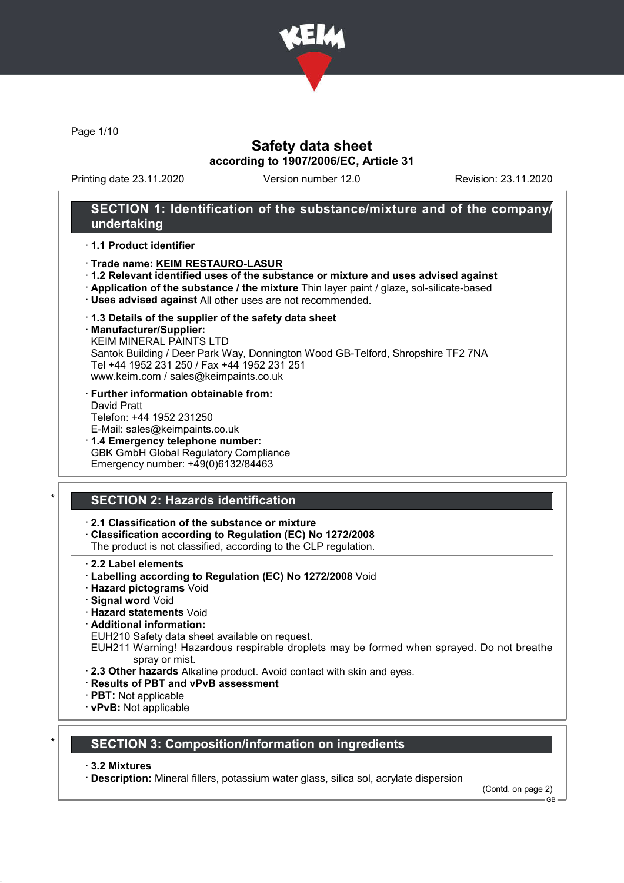

Page 1/10

## Safety data sheet according to 1907/2006/EC, Article 31

Printing date 23.11.2020 Version number 12.0 Revision: 23.11.2020

### SECTION 1: Identification of the substance/mixture and of the company/ undertaking

#### · 1.1 Product identifier

#### · Trade name: KEIM RESTAURO-LASUR

- · 1.2 Relevant identified uses of the substance or mixture and uses advised against
- · Application of the substance / the mixture Thin layer paint / glaze, sol-silicate-based
- · Uses advised against All other uses are not recommended.
- · 1.3 Details of the supplier of the safety data sheet
- · Manufacturer/Supplier:

KEIM MINERAL PAINTS LTD Santok Building / Deer Park Way, Donnington Wood GB-Telford, Shropshire TF2 7NA Tel +44 1952 231 250 / Fax +44 1952 231 251 www.keim.com / sales@keimpaints.co.uk

- · Further information obtainable from: David Pratt Telefon: +44 1952 231250 E-Mail: sales@keimpaints.co.uk
- · 1.4 Emergency telephone number: GBK GmbH Global Regulatory Compliance Emergency number: +49(0)6132/84463

# SECTION 2: Hazards identification

· 2.1 Classification of the substance or mixture

- · Classification according to Regulation (EC) No 1272/2008
- The product is not classified, according to the CLP regulation.
- · 2.2 Label elements
- · Labelling according to Regulation (EC) No 1272/2008 Void
- · Hazard pictograms Void
- · Signal word Void
- · Hazard statements Void
- · Additional information:
- EUH210 Safety data sheet available on request.
- EUH211 Warning! Hazardous respirable droplets may be formed when sprayed. Do not breathe spray or mist.
- · 2.3 Other hazards Alkaline product. Avoid contact with skin and eyes.
- · Results of PBT and vPvB assessment
- · PBT: Not applicable
- · vPvB: Not applicable

### SECTION 3: Composition/information on ingredients

#### · 3.2 Mixtures

· Description: Mineral fillers, potassium water glass, silica sol, acrylate dispersion

(Contd. on page 2)

 $-$  GB.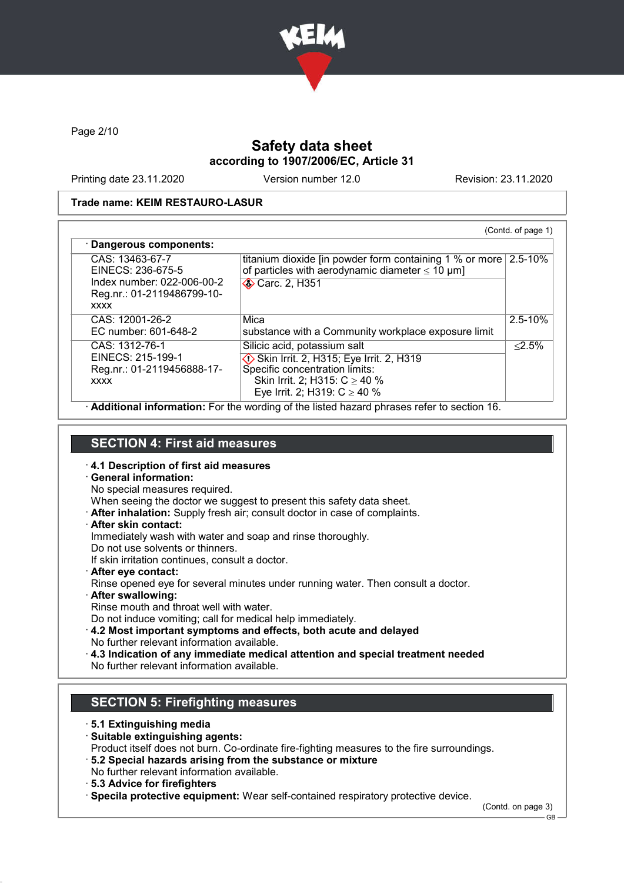

Page 2/10

## Safety data sheet according to 1907/2006/EC, Article 31

Printing date 23.11.2020 Version number 12.0 Revision: 23.11.2020

#### Trade name: KEIM RESTAURO-LASUR

| · Dangerous components:                                                                                         |                                                                                                                                                                                     | (Contd. of page 1) |
|-----------------------------------------------------------------------------------------------------------------|-------------------------------------------------------------------------------------------------------------------------------------------------------------------------------------|--------------------|
| CAS: 13463-67-7<br>EINECS: 236-675-5<br>Index number: 022-006-00-2<br>Reg.nr.: 01-2119486799-10-<br><b>XXXX</b> | titanium dioxide [in powder form containing 1 % or more $\sqrt{2.5-10\%}$<br>of particles with aerodynamic diameter $\leq 10 \mu m$ ]<br>Carc. 2, H351                              |                    |
| CAS: 12001-26-2<br>EC number: 601-648-2                                                                         | Mica<br>substance with a Community workplace exposure limit                                                                                                                         | $2.5 - 10%$        |
| CAS: 1312-76-1<br>EINECS: 215-199-1<br>Reg.nr.: 01-2119456888-17-<br><b>XXXX</b>                                | Silicic acid, potassium salt<br>Skin Irrit. 2, H315; Eye Irrit. 2, H319<br>Specific concentration limits:<br>Skin Irrit. 2; H315: $C \ge 40 \%$<br>Eye Irrit. 2; H319: $C \ge 40$ % | < 2.5%             |

· Additional information: For the wording of the listed hazard phrases refer to section 16.

### SECTION 4: First aid measures

- · 4.1 Description of first aid measures
- · General information:
- No special measures required.

When seeing the doctor we suggest to present this safety data sheet.

- · After inhalation: Supply fresh air; consult doctor in case of complaints.
- · After skin contact:

Immediately wash with water and soap and rinse thoroughly.

Do not use solvents or thinners.

If skin irritation continues, consult a doctor.

· After eye contact:

Rinse opened eye for several minutes under running water. Then consult a doctor.

· After swallowing:

Rinse mouth and throat well with water.

Do not induce vomiting; call for medical help immediately.

- · 4.2 Most important symptoms and effects, both acute and delayed No further relevant information available.
- · 4.3 Indication of any immediate medical attention and special treatment needed
- No further relevant information available.

# SECTION 5: Firefighting measures

- · 5.1 Extinguishing media
- · Suitable extinguishing agents:
- Product itself does not burn. Co-ordinate fire-fighting measures to the fire surroundings.
- · 5.2 Special hazards arising from the substance or mixture No further relevant information available.
- · 5.3 Advice for firefighters

· Specila protective equipment: Wear self-contained respiratory protective device.

(Contd. on page 3)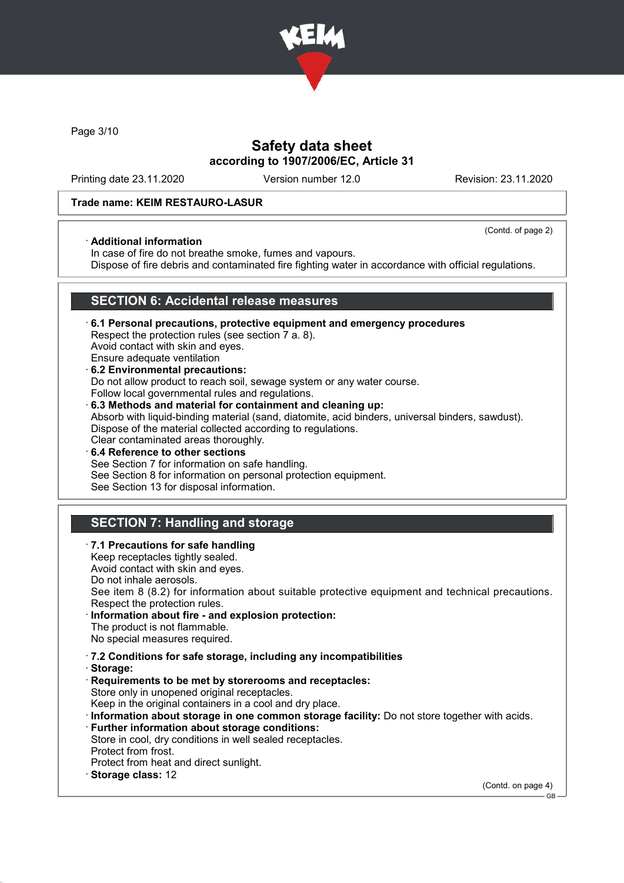

Page 3/10

## Safety data sheet according to 1907/2006/EC, Article 31

Printing date 23.11.2020 Version number 12.0 Revision: 23.11.2020

(Contd. of page 2)

### Trade name: KEIM RESTAURO-LASUR

### · Additional information

In case of fire do not breathe smoke, fumes and vapours.

Dispose of fire debris and contaminated fire fighting water in accordance with official regulations.

### SECTION 6: Accidental release measures

- · 6.1 Personal precautions, protective equipment and emergency procedures Respect the protection rules (see section 7 a. 8). Avoid contact with skin and eyes. Ensure adequate ventilation · 6.2 Environmental precautions:
- Do not allow product to reach soil, sewage system or any water course. Follow local governmental rules and regulations.
- · 6.3 Methods and material for containment and cleaning up: Absorb with liquid-binding material (sand, diatomite, acid binders, universal binders, sawdust). Dispose of the material collected according to regulations. Clear contaminated areas thoroughly.
- 6.4 Reference to other sections See Section 7 for information on safe handling. See Section 8 for information on personal protection equipment. See Section 13 for disposal information.

# SECTION 7: Handling and storage

- · 7.1 Precautions for safe handling
- Keep receptacles tightly sealed.
- Avoid contact with skin and eyes.
- Do not inhale aerosols.
- See item 8 (8.2) for information about suitable protective equipment and technical precautions. Respect the protection rules.
- Information about fire and explosion protection: The product is not flammable.
- No special measures required.
- · 7.2 Conditions for safe storage, including any incompatibilities
- · Storage:
- · Requirements to be met by storerooms and receptacles: Store only in unopened original receptacles. Keep in the original containers in a cool and dry place.
- · Information about storage in one common storage facility: Do not store together with acids.
- · Further information about storage conditions:
- Store in cool, dry conditions in well sealed receptacles.
- Protect from frost.
- Protect from heat and direct sunlight.
- Storage class: 12

(Contd. on page 4)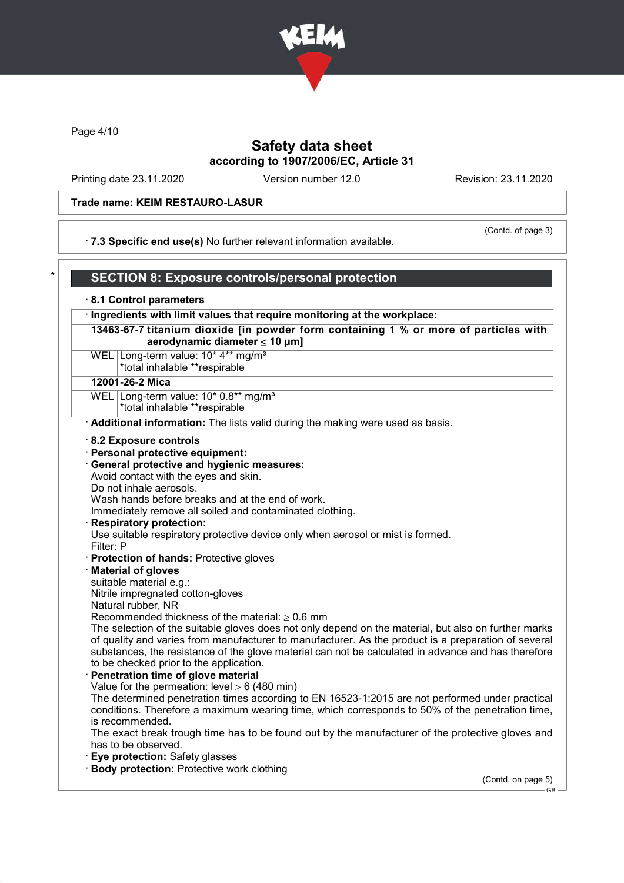

Page 4/10

## Safety data sheet according to 1907/2006/EC, Article 31

Printing date 23.11.2020 Version number 12.0 Revision: 23.11.2020

#### Trade name: KEIM RESTAURO-LASUR

· 7.3 Specific end use(s) No further relevant information available.

(Contd. of page 3)

# SECTION 8: Exposure controls/personal protection

#### · 8.1 Control parameters

· Ingredients with limit values that require monitoring at the workplace:

13463-67-7 titanium dioxide [in powder form containing 1 % or more of particles with aerodynamic diameter  $\leq 10 \mu m$ ]

WEL Long-term value: 10<sup>\*</sup> 4<sup>\*\*</sup> mg/m<sup>3</sup> \*total inhalable \*\*respirable

#### 12001-26-2 Mica

WEL Long-term value: 10\* 0.8\*\* mg/m<sup>3</sup>

\*total inhalable \*\*respirable

· Additional information: The lists valid during the making were used as basis.

- · 8.2 Exposure controls
- · Personal protective equipment:
- · General protective and hygienic measures:

Avoid contact with the eyes and skin.

Do not inhale aerosols.

Wash hands before breaks and at the end of work.

Immediately remove all soiled and contaminated clothing.

#### Respiratory protection:

Use suitable respiratory protective device only when aerosol or mist is formed.

Filter: P

- · Protection of hands: Protective gloves
- · Material of gloves

suitable material e.g.:

Nitrile impregnated cotton-gloves

Natural rubber, NR

Recommended thickness of the material:  $> 0.6$  mm

The selection of the suitable gloves does not only depend on the material, but also on further marks of quality and varies from manufacturer to manufacturer. As the product is a preparation of several substances, the resistance of the glove material can not be calculated in advance and has therefore to be checked prior to the application.

#### Penetration time of glove material

Value for the permeation: level  $> 6$  (480 min)

The determined penetration times according to EN 16523-1:2015 are not performed under practical conditions. Therefore a maximum wearing time, which corresponds to 50% of the penetration time, is recommended.

The exact break trough time has to be found out by the manufacturer of the protective gloves and has to be observed.

- **Eye protection: Safety glasses**
- · Body protection: Protective work clothing

(Contd. on page 5)

GB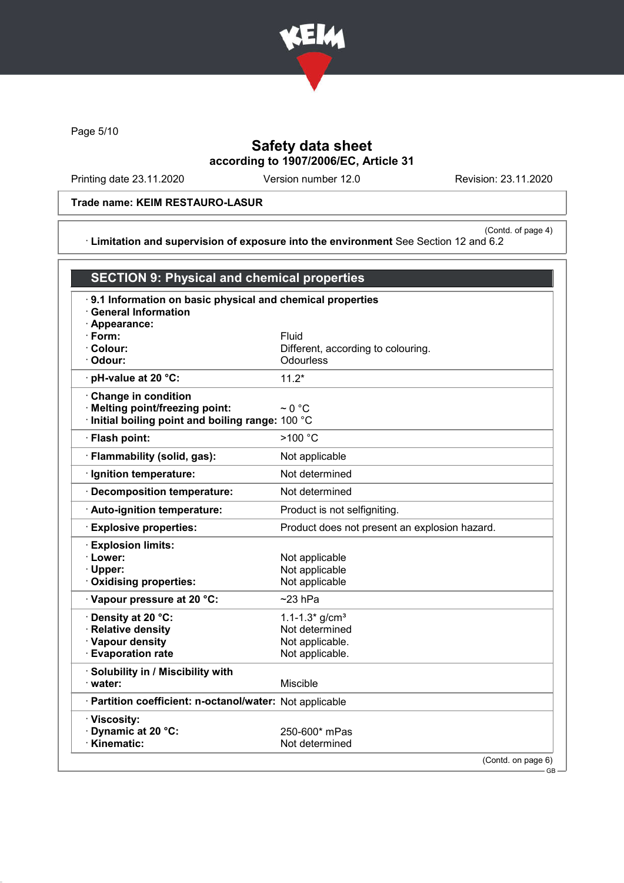

Page 5/10

# Safety data sheet according to 1907/2006/EC, Article 31

Printing date 23.11.2020 Version number 12.0 Revision: 23.11.2020

### Trade name: KEIM RESTAURO-LASUR

(Contd. of page 4) · Limitation and supervision of exposure into the environment See Section 12 and 6.2

|                                                                                                             | <b>SECTION 9: Physical and chemical properties</b>        |  |  |  |  |
|-------------------------------------------------------------------------------------------------------------|-----------------------------------------------------------|--|--|--|--|
| <b>General Information</b><br>· Appearance:                                                                 | 9.1 Information on basic physical and chemical properties |  |  |  |  |
| $\cdot$ Form:                                                                                               | Fluid                                                     |  |  |  |  |
| · Colour:                                                                                                   | Different, according to colouring.                        |  |  |  |  |
| · Odour:                                                                                                    | Odourless                                                 |  |  |  |  |
| · pH-value at 20 °C:                                                                                        | $11.2*$                                                   |  |  |  |  |
| Change in condition<br>· Melting point/freezing point:<br>· Initial boiling point and boiling range: 100 °C | $\sim$ 0 °C                                               |  |  |  |  |
| · Flash point:                                                                                              | >100 °C                                                   |  |  |  |  |
| · Flammability (solid, gas):                                                                                | Not applicable                                            |  |  |  |  |
| · Ignition temperature:                                                                                     | Not determined                                            |  |  |  |  |
| · Decomposition temperature:                                                                                | Not determined                                            |  |  |  |  |
| · Auto-ignition temperature:                                                                                | Product is not selfigniting.                              |  |  |  |  |
| <b>Explosive properties:</b>                                                                                | Product does not present an explosion hazard.             |  |  |  |  |
| <b>Explosion limits:</b><br>· Lower:<br>· Upper:<br>Oxidising properties:                                   | Not applicable<br>Not applicable<br>Not applicable        |  |  |  |  |
| Vapour pressure at 20 °C:                                                                                   | $\sim$ 23 hPa                                             |  |  |  |  |
| · Density at 20 °C:                                                                                         | 1.1-1.3* $g/cm3$                                          |  |  |  |  |
| <b>Relative density</b>                                                                                     | Not determined                                            |  |  |  |  |
| · Vapour density                                                                                            | Not applicable.                                           |  |  |  |  |
| <b>Evaporation rate</b>                                                                                     | Not applicable.                                           |  |  |  |  |
| · Solubility in / Miscibility with<br>· water:                                                              | <b>Miscible</b>                                           |  |  |  |  |
| · Partition coefficient: n-octanol/water: Not applicable                                                    |                                                           |  |  |  |  |
| · Viscosity:<br>Dynamic at 20 °C:<br>· Kinematic:                                                           | 250-600* mPas<br>Not determined                           |  |  |  |  |
|                                                                                                             | (Contd. on page 6)<br>G <sub>R</sub>                      |  |  |  |  |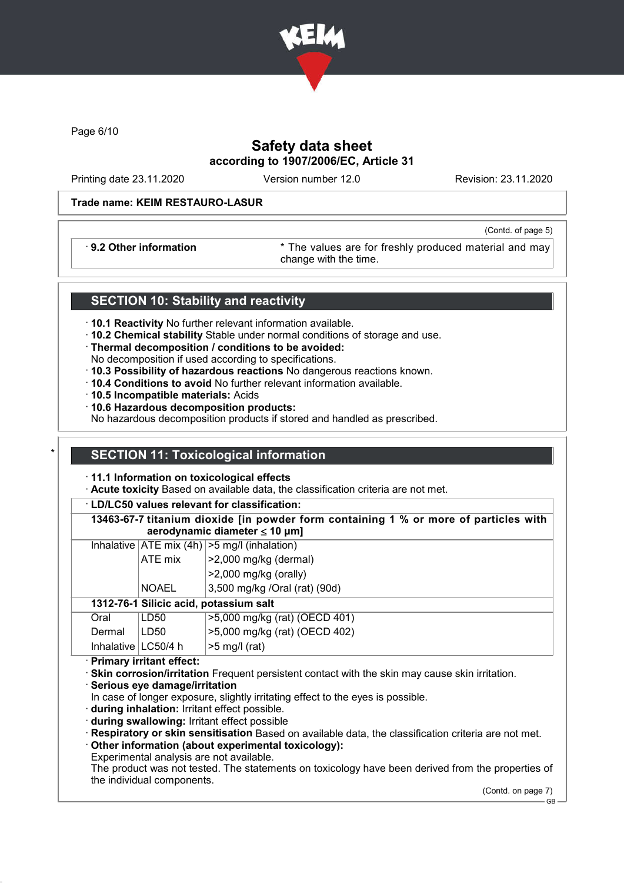

Page 6/10

# Safety data sheet according to 1907/2006/EC, Article 31

Printing date 23.11.2020 Version number 12.0 Revision: 23.11.2020

(Contd. of page 5)

### Trade name: KEIM RESTAURO-LASUR

· 9.2 Other information \* The values are for freshly produced material and may change with the time.

### SECTION 10: Stability and reactivity

- · 10.1 Reactivity No further relevant information available.
- · 10.2 Chemical stability Stable under normal conditions of storage and use.
- · Thermal decomposition / conditions to be avoided:
- No decomposition if used according to specifications.
- · 10.3 Possibility of hazardous reactions No dangerous reactions known.
- · 10.4 Conditions to avoid No further relevant information available.
- · 10.5 Incompatible materials: Acids
- · 10.6 Hazardous decomposition products:

No hazardous decomposition products if stored and handled as prescribed.

### **SECTION 11: Toxicological information**

- · 11.1 Information on toxicological effects
- · Acute toxicity Based on available data, the classification criteria are not met.

· LD/LC50 values relevant for classification:

13463-67-7 titanium dioxide [in powder form containing 1 % or more of particles with aerodynamic diameter ≤ 10 μm]

| Inhalative $ ATE \text{ mix } (4h)   > 5 \text{ mg/l } (inhalation)$ |        |                  |                               |  |
|----------------------------------------------------------------------|--------|------------------|-------------------------------|--|
| ATE mix                                                              |        |                  | $ >2,000$ mg/kg (dermal)      |  |
|                                                                      |        |                  | $>2,000$ mg/kg (orally)       |  |
|                                                                      |        | <b>NOAEL</b>     | 3,500 mg/kg /Oral (rat) (90d) |  |
| 1312-76-1 Silicic acid, potassium salt                               |        |                  |                               |  |
|                                                                      | Oral   | LD <sub>50</sub> | >5,000 mg/kg (rat) (OECD 401) |  |
|                                                                      | Dermal | LD50             | >5,000 mg/kg (rat) (OECD 402) |  |
|                                                                      |        |                  |                               |  |

Inhalative  $\lfloor$  LC50/4 h  $\rfloor$  >5 mg/l (rat)

· Primary irritant effect:

· Skin corrosion/irritation Frequent persistent contact with the skin may cause skin irritation.

· Serious eye damage/irritation

In case of longer exposure, slightly irritating effect to the eyes is possible.

· during inhalation: Irritant effect possible.

· during swallowing: Irritant effect possible

· Respiratory or skin sensitisation Based on available data, the classification criteria are not met.

Other information (about experimental toxicology):

Experimental analysis are not available.

The product was not tested. The statements on toxicology have been derived from the properties of the individual components.

(Contd. on page 7)

GB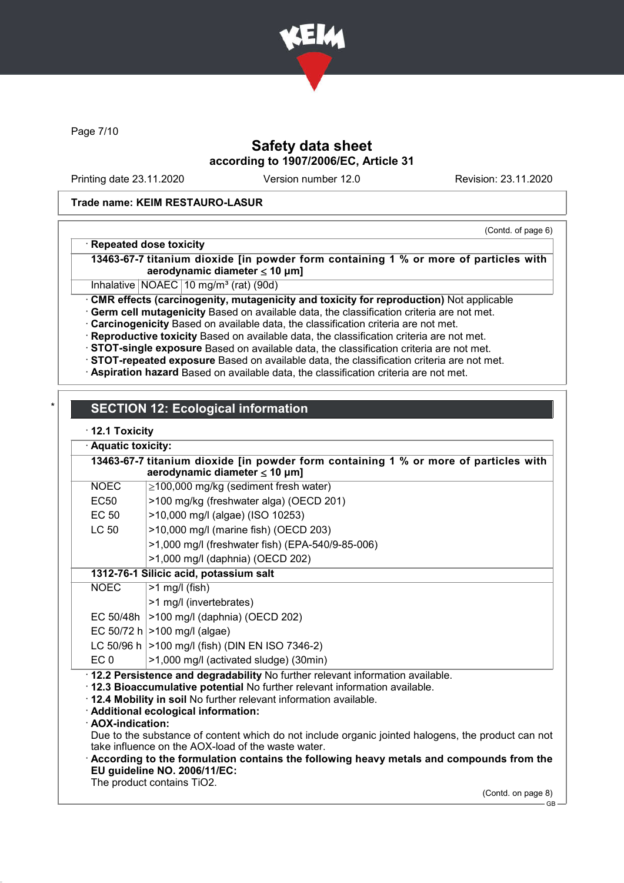

Page 7/10

# Safety data sheet according to 1907/2006/EC, Article 31

Printing date 23.11.2020 Version number 12.0 Revision: 23.11.2020

### Trade name: KEIM RESTAURO-LASUR

(Contd. of page 6)

### · Repeated dose toxicity

13463-67-7 titanium dioxide [in powder form containing 1 % or more of particles with aerodynamic diameter  $\leq 10 \mu m$ ]

Inhalative NOAEC 10 mg/m<sup>3</sup> (rat) (90d)

· CMR effects (carcinogenity, mutagenicity and toxicity for reproduction) Not applicable

· Germ cell mutagenicity Based on available data, the classification criteria are not met.

· Carcinogenicity Based on available data, the classification criteria are not met.

· Reproductive toxicity Based on available data, the classification criteria are not met.

· STOT-single exposure Based on available data, the classification criteria are not met.

· STOT-repeated exposure Based on available data, the classification criteria are not met.

· Aspiration hazard Based on available data, the classification criteria are not met.

# **SECTION 12: Ecological information**

### · 12.1 Toxicity

|                                                                                 | Aquatic toxicity:                                                                       |                                                                                                                            |  |  |  |
|---------------------------------------------------------------------------------|-----------------------------------------------------------------------------------------|----------------------------------------------------------------------------------------------------------------------------|--|--|--|
|                                                                                 |                                                                                         | 13463-67-7 titanium dioxide [in powder form containing 1 % or more of particles with<br>aerodynamic diameter $\leq 10$ µm] |  |  |  |
|                                                                                 | <b>NOEC</b>                                                                             | $\geq$ 100,000 mg/kg (sediment fresh water)                                                                                |  |  |  |
|                                                                                 | <b>EC50</b>                                                                             | >100 mg/kg (freshwater alga) (OECD 201)                                                                                    |  |  |  |
|                                                                                 | <b>EC 50</b>                                                                            | >10,000 mg/l (algae) (ISO 10253)                                                                                           |  |  |  |
|                                                                                 | <b>LC 50</b><br>>10,000 mg/l (marine fish) (OECD 203)                                   |                                                                                                                            |  |  |  |
| >1,000 mg/l (freshwater fish) (EPA-540/9-85-006)                                |                                                                                         |                                                                                                                            |  |  |  |
| >1,000 mg/l (daphnia) (OECD 202)                                                |                                                                                         |                                                                                                                            |  |  |  |
|                                                                                 |                                                                                         | 1312-76-1 Silicic acid, potassium salt                                                                                     |  |  |  |
|                                                                                 | <b>NOEC</b>                                                                             | $>1$ mg/l (fish)                                                                                                           |  |  |  |
|                                                                                 |                                                                                         | >1 mg/l (invertebrates)                                                                                                    |  |  |  |
|                                                                                 | EC 50/48h                                                                               | >100 mg/l (daphnia) (OECD 202)                                                                                             |  |  |  |
|                                                                                 |                                                                                         | EC 50/72 h $>100$ mg/l (algae)                                                                                             |  |  |  |
|                                                                                 |                                                                                         | LC 50/96 h   > 100 mg/l (fish) (DIN EN ISO 7346-2)                                                                         |  |  |  |
| EC <sub>0</sub><br>>1,000 mg/l (activated sludge) (30min)                       |                                                                                         |                                                                                                                            |  |  |  |
| · 12.2 Persistence and degradability No further relevant information available. |                                                                                         |                                                                                                                            |  |  |  |
|                                                                                 |                                                                                         | 12.3 Bioaccumulative potential No further relevant information available.                                                  |  |  |  |
|                                                                                 |                                                                                         | . 12.4 Mobility in soil No further relevant information available.                                                         |  |  |  |
|                                                                                 | · Additional ecological information:<br>· AOX-indication:                               |                                                                                                                            |  |  |  |
|                                                                                 |                                                                                         | Due to the substance of content which do not include organic jointed halogens, the product can not                         |  |  |  |
|                                                                                 | take influence on the AOX-load of the waste water.                                      |                                                                                                                            |  |  |  |
|                                                                                 | According to the formulation contains the following heavy metals and compounds from the |                                                                                                                            |  |  |  |
|                                                                                 | EU guideline NO. 2006/11/EC:                                                            |                                                                                                                            |  |  |  |
|                                                                                 | The product contains TiO2.                                                              |                                                                                                                            |  |  |  |

(Contd. on page 8)

GB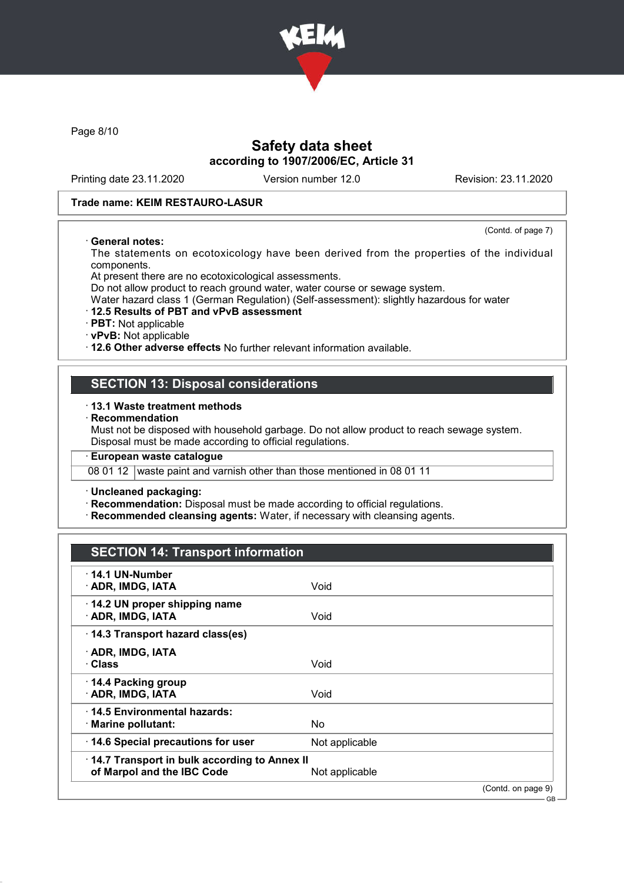

Page 8/10

## Safety data sheet according to 1907/2006/EC, Article 31

Printing date 23.11.2020 Version number 12.0 Revision: 23.11.2020

(Contd. of page 7)

 $-GB$ 

#### Trade name: KEIM RESTAURO-LASUR

#### · General notes:

The statements on ecotoxicology have been derived from the properties of the individual components.

At present there are no ecotoxicological assessments.

Do not allow product to reach ground water, water course or sewage system.

Water hazard class 1 (German Regulation) (Self-assessment): slightly hazardous for water

#### · 12.5 Results of PBT and vPvB assessment

· PBT: Not applicable

· vPvB: Not applicable

· 12.6 Other adverse effects No further relevant information available.

### SECTION 13: Disposal considerations

#### · 13.1 Waste treatment methods

**Recommendation** 

Must not be disposed with household garbage. Do not allow product to reach sewage system. Disposal must be made according to official regulations.

### · European waste catalogue

08 01 12 waste paint and varnish other than those mentioned in 08 01 11

#### · Uncleaned packaging:

· Recommendation: Disposal must be made according to official regulations.

· Recommended cleansing agents: Water, if necessary with cleansing agents.

# SECTION 14: Transport information

| $\cdot$ 14.1 UN-Number<br>· ADR, IMDG, IATA                                | Void           |                    |
|----------------------------------------------------------------------------|----------------|--------------------|
| 14.2 UN proper shipping name<br>· ADR, IMDG, IATA                          | Void           |                    |
| 14.3 Transport hazard class(es)                                            |                |                    |
| · ADR, IMDG, IATA<br>· Class                                               | Void           |                    |
| ⋅ 14.4 Packing group<br>· ADR, IMDG, IATA                                  | Void           |                    |
| ⋅14.5 Environmental hazards:<br>· Marine pollutant:                        | No             |                    |
| 14.6 Special precautions for user                                          | Not applicable |                    |
| 14.7 Transport in bulk according to Annex II<br>of Marpol and the IBC Code | Not applicable |                    |
|                                                                            |                | (Contd. on page 9) |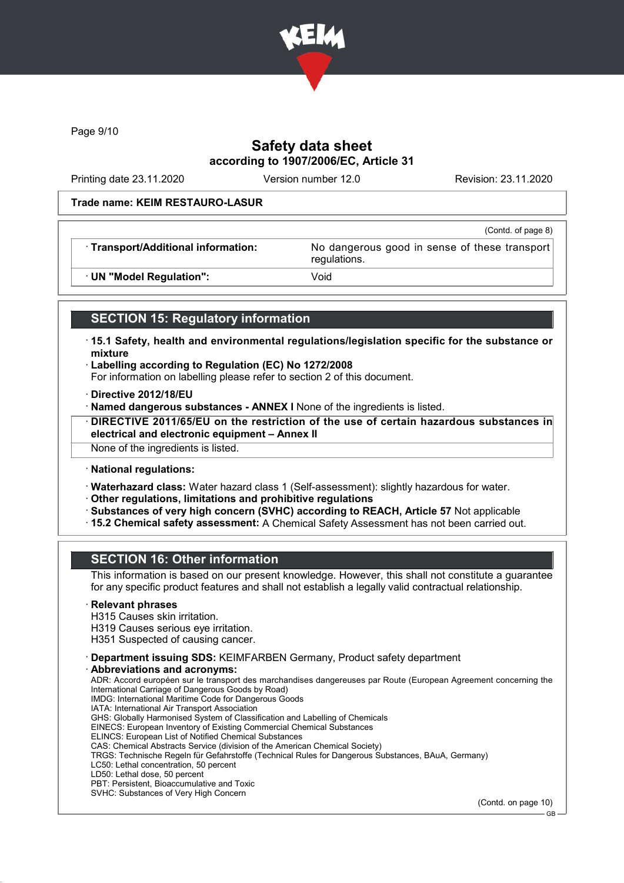

Page 9/10

## Safety data sheet according to 1907/2006/EC, Article 31

Printing date 23.11.2020 Version number 12.0 Revision: 23.11.2020

(Contd. of page 8)

GB

#### Trade name: KEIM RESTAURO-LASUR

· Transport/Additional information: No dangerous good in sense of these transport

regulations.

· UN "Model Regulation": Void

# SECTION 15: Regulatory information

- · 15.1 Safety, health and environmental regulations/legislation specific for the substance or mixture
- · Labelling according to Regulation (EC) No 1272/2008
- For information on labelling please refer to section 2 of this document.
- · Directive 2012/18/EU
- · Named dangerous substances ANNEX I None of the ingredients is listed.
- · DIRECTIVE 2011/65/EU on the restriction of the use of certain hazardous substances in electrical and electronic equipment – Annex II

None of the ingredients is listed.

- · National regulations:
- · Waterhazard class: Water hazard class 1 (Self-assessment): slightly hazardous for water.
- · Other regulations, limitations and prohibitive regulations
- · Substances of very high concern (SVHC) according to REACH, Article 57 Not applicable
- · 15.2 Chemical safety assessment: A Chemical Safety Assessment has not been carried out.

# SECTION 16: Other information

This information is based on our present knowledge. However, this shall not constitute a guarantee for any specific product features and shall not establish a legally valid contractual relationship.

#### **Relevant phrases**

- H315 Causes skin irritation.
- H319 Causes serious eye irritation.
- H351 Suspected of causing cancer.
- · Department issuing SDS: KEIMFARBEN Germany, Product safety department
- Abbreviations and acronyms:

ADR: Accord européen sur le transport des marchandises dangereuses par Route (European Agreement concerning the International Carriage of Dangerous Goods by Road) IMDG: International Maritime Code for Dangerous Goods IATA: International Air Transport Association GHS: Globally Harmonised System of Classification and Labelling of Chemicals EINECS: European Inventory of Existing Commercial Chemical Substances ELINCS: European List of Notified Chemical Substances CAS: Chemical Abstracts Service (division of the American Chemical Society) TRGS: Technische Regeln für Gefahrstoffe (Technical Rules for Dangerous Substances, BAuA, Germany) LC50: Lethal concentration, 50 percent LD50: Lethal dose, 50 percent PBT: Persistent, Bioaccumulative and Toxic SVHC: Substances of Very High Concern (Contd. on page 10)